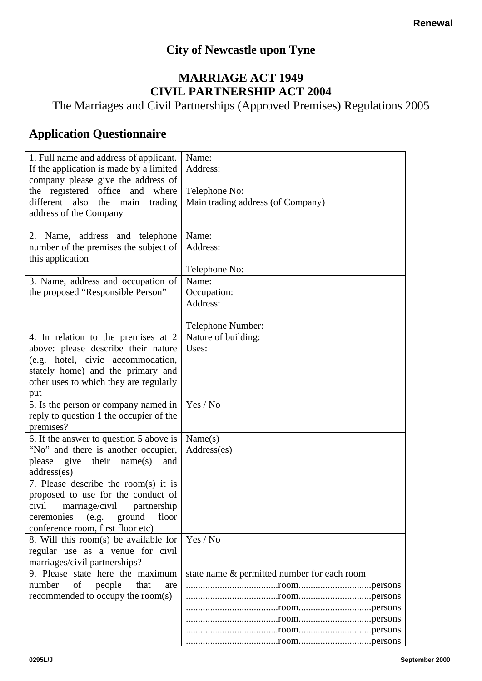## **City of Newcastle upon Tyne**

## **MARRIAGE ACT 1949 CIVIL PARTNERSHIP ACT 2004**

The Marriages and Civil Partnerships (Approved Premises) Regulations 2005

## **Application Questionnaire**

| 1. Full name and address of applicant.                                      | Name:                                       |
|-----------------------------------------------------------------------------|---------------------------------------------|
| If the application is made by a limited                                     | Address:                                    |
| company please give the address of<br>the registered office and<br>where    | Telephone No:                               |
| different also<br>the<br>main<br>trading                                    | Main trading address (of Company)           |
| address of the Company                                                      |                                             |
|                                                                             |                                             |
| 2. Name, address and telephone                                              | Name:                                       |
| number of the premises the subject of                                       | Address:                                    |
| this application                                                            | Telephone No:                               |
| 3. Name, address and occupation of                                          | Name:                                       |
| the proposed "Responsible Person"                                           | Occupation:                                 |
|                                                                             | Address:                                    |
|                                                                             |                                             |
|                                                                             | Telephone Number:                           |
| 4. In relation to the premises at 2                                         | Nature of building:                         |
| above: please describe their nature                                         | Uses:                                       |
| (e.g. hotel, civic accommodation,                                           |                                             |
| stately home) and the primary and<br>other uses to which they are regularly |                                             |
| put                                                                         |                                             |
| 5. Is the person or company named in                                        | Yes / No                                    |
| reply to question 1 the occupier of the                                     |                                             |
| premises?                                                                   |                                             |
| 6. If the answer to question 5 above is                                     | Name(s)                                     |
| "No" and there is another occupier,                                         | Address(es)                                 |
| give their<br>please<br>name(s)<br>and                                      |                                             |
| address(es)<br>7. Please describe the room(s) it is                         |                                             |
| proposed to use for the conduct of                                          |                                             |
| civil<br>marriage/civil<br>partnership                                      |                                             |
| ground<br>(e.g.<br>ceremonies<br>floor                                      |                                             |
| conference room, first floor etc)                                           |                                             |
| 8. Will this room(s) be available for                                       | Yes / No                                    |
| regular use as a venue for civil                                            |                                             |
| marriages/civil partnerships?                                               |                                             |
| 9. Please state here the maximum                                            | state name & permitted number for each room |
| number<br>of<br>people<br>that<br>are                                       |                                             |
| recommended to occupy the room(s)                                           |                                             |
|                                                                             |                                             |
|                                                                             |                                             |
|                                                                             |                                             |